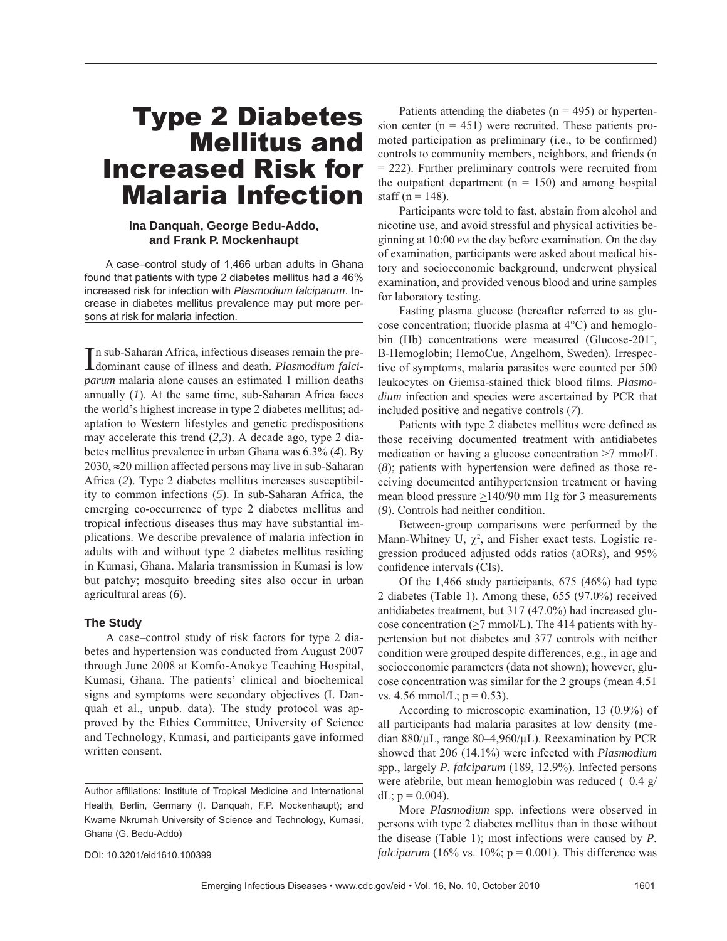# Type 2 Diabetes Mellitus and Increased Risk for Malaria Infection

### **Ina Danquah, George Bedu-Addo, and Frank P. Mockenhaupt**

A case–control study of 1,466 urban adults in Ghana found that patients with type 2 diabetes mellitus had a 46% increased risk for infection with *Plasmodium falciparum*. Increase in diabetes mellitus prevalence may put more persons at risk for malaria infection.

In sub-Saharan Africa, infectious diseases remain the pre-<br>dominant cause of illness and death. *Plasmodium falci*n sub-Saharan Africa, infectious diseases remain the pre*parum* malaria alone causes an estimated 1 million deaths annually (*1*). At the same time, sub-Saharan Africa faces the world's highest increase in type 2 diabetes mellitus; adaptation to Western lifestyles and genetic predispositions may accelerate this trend (*2*,*3*). A decade ago, type 2 diabetes mellitus prevalence in urban Ghana was 6.3% (*4*). By 2030, ≈20 million affected persons may live in sub-Saharan Africa (*2*). Type 2 diabetes mellitus increases susceptibility to common infections (*5*). In sub-Saharan Africa, the emerging co-occurrence of type 2 diabetes mellitus and tropical infectious diseases thus may have substantial implications. We describe prevalence of malaria infection in adults with and without type 2 diabetes mellitus residing in Kumasi, Ghana. Malaria transmission in Kumasi is low but patchy; mosquito breeding sites also occur in urban agricultural areas (*6*).

#### **The Study**

A case–control study of risk factors for type 2 diabetes and hypertension was conducted from August 2007 through June 2008 at Komfo-Anokye Teaching Hospital, Kumasi, Ghana. The patients' clinical and biochemical signs and symptoms were secondary objectives (I. Danquah et al., unpub. data). The study protocol was approved by the Ethics Committee, University of Science and Technology, Kumasi, and participants gave informed written consent.

DOI: 10.3201/eid1610.100399

Patients attending the diabetes ( $n = 495$ ) or hypertension center  $(n = 451)$  were recruited. These patients promoted participation as preliminary (i.e., to be confirmed) controls to community members, neighbors, and friends (n = 222). Further preliminary controls were recruited from the outpatient department ( $n = 150$ ) and among hospital staff ( $n = 148$ ).

Participants were told to fast, abstain from alcohol and nicotine use, and avoid stressful and physical activities beginning at 10:00 PM the day before examination. On the day of examination, participants were asked about medical history and socioeconomic background, underwent physical examination, and provided venous blood and urine samples for laboratory testing.

Fasting plasma glucose (hereafter referred to as glucose concentration; fluoride plasma at  $4^{\circ}$ C) and hemoglobin (Hb) concentrations were measured (Glucose-201<sup>+</sup>, B-Hemoglobin; HemoCue, Angelhom, Sweden). Irrespective of symptoms, malaria parasites were counted per 500 leukocytes on Giemsa-stained thick blood films. *Plasmodium* infection and species were ascertained by PCR that included positive and negative controls (*7*).

Patients with type 2 diabetes mellitus were defined as those receiving documented treatment with antidiabetes medication or having a glucose concentration >7 mmol/L  $(8)$ ; patients with hypertension were defined as those receiving documented antihypertension treatment or having mean blood pressure  $\geq$ 140/90 mm Hg for 3 measurements (*9*). Controls had neither condition.

Between-group comparisons were performed by the Mann-Whitney U,  $\chi^2$ , and Fisher exact tests. Logistic regression produced adjusted odds ratios (aORs), and 95% confidence intervals (CIs).

Of the 1,466 study participants, 675 (46%) had type 2 diabetes (Table 1). Among these, 655 (97.0%) received antidiabetes treatment, but 317 (47.0%) had increased glucose concentration ( $\geq$ 7 mmol/L). The 414 patients with hypertension but not diabetes and 377 controls with neither condition were grouped despite differences, e.g., in age and socioeconomic parameters (data not shown); however, glucose concentration was similar for the 2 groups (mean 4.51 vs. 4.56 mmol/L;  $p = 0.53$ ).

According to microscopic examination, 13 (0.9%) of all participants had malaria parasites at low density (median 880/μL, range 80–4,960/μL). Reexamination by PCR showed that 206 (14.1%) were infected with *Plasmodium* spp., largely *P. falciparum* (189, 12.9%). Infected persons were afebrile, but mean hemoglobin was reduced (–0.4 g/ dL;  $p = 0.004$ ).

More *Plasmodium* spp. infections were observed in persons with type 2 diabetes mellitus than in those without the disease (Table 1); most infections were caused by *P. falciparum* (16% vs. 10%;  $p = 0.001$ ). This difference was

Author affiliations: Institute of Tropical Medicine and International Health, Berlin, Germany (I. Danquah, F.P. Mockenhaupt); and Kwame Nkrumah University of Science and Technology, Kumasi, Ghana (G. Bedu-Addo)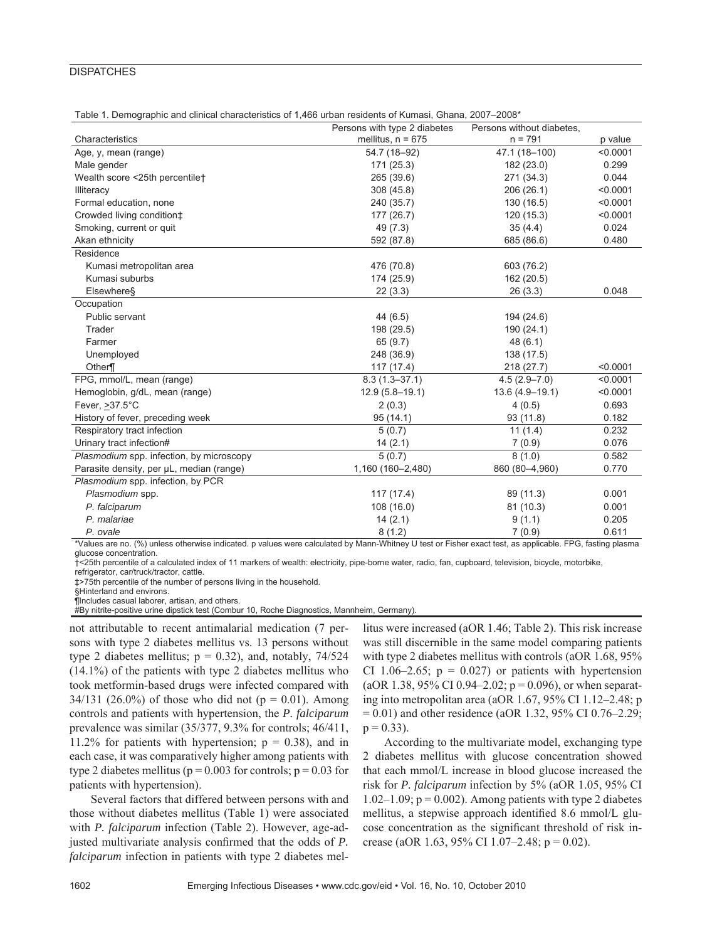### **DISPATCHES**

|  |  | Table 1. Demographic and clinical characteristics of 1,466 urban residents of Kumasi, Ghana, 2007-2008* |  |
|--|--|---------------------------------------------------------------------------------------------------------|--|
|--|--|---------------------------------------------------------------------------------------------------------|--|

|                                          | Persons with type 2 diabetes | Persons without diabetes, |          |
|------------------------------------------|------------------------------|---------------------------|----------|
| Characteristics                          | mellitus, $n = 675$          | $n = 791$                 | p value  |
| Age, y, mean (range)                     | 54.7 (18-92)                 | 47.1 (18-100)             | < 0.0001 |
| Male gender                              | 171 (25.3)                   | 182 (23.0)                | 0.299    |
| Wealth score <25th percentile†           | 265 (39.6)                   | 271 (34.3)                | 0.044    |
| Illiteracy                               | 308 (45.8)                   | 206 (26.1)                | < 0.0001 |
| Formal education, none                   | 240 (35.7)                   | 130 (16.5)                | < 0.0001 |
| Crowded living condition‡                | 177 (26.7)                   | 120 (15.3)                | < 0.0001 |
| Smoking, current or quit                 | 49 (7.3)                     | 35(4.4)                   | 0.024    |
| Akan ethnicity                           | 592 (87.8)                   | 685 (86.6)                | 0.480    |
| Residence                                |                              |                           |          |
| Kumasi metropolitan area                 | 476 (70.8)                   | 603 (76.2)                |          |
| Kumasi suburbs                           | 174 (25.9)                   | 162 (20.5)                |          |
| Elsewhere§                               | 22(3.3)                      | 26(3.3)                   | 0.048    |
| Occupation                               |                              |                           |          |
| Public servant                           | 44 (6.5)                     | 194 (24.6)                |          |
| Trader                                   | 198 (29.5)                   | 190 (24.1)                |          |
| Farmer                                   | 65 (9.7)                     | 48(6.1)                   |          |
| Unemployed                               | 248 (36.9)                   | 138 (17.5)                |          |
| Other                                    | 117(17.4)                    | 218(27.7)                 | < 0.0001 |
| FPG, mmol/L, mean (range)                | $8.3(1.3 - 37.1)$            | $4.5(2.9 - 7.0)$          | < 0.0001 |
| Hemoglobin, g/dL, mean (range)           | $12.9(5.8 - 19.1)$           | $13.6(4.9 - 19.1)$        | < 0.0001 |
| Fever, $>37.5^{\circ}$ C                 | 2(0.3)                       | 4(0.5)                    | 0.693    |
| History of fever, preceding week         | 95(14.1)                     | 93 (11.8)                 | 0.182    |
| Respiratory tract infection              | 5(0.7)                       | 11(1.4)                   | 0.232    |
| Urinary tract infection#                 | 14(2.1)                      | 7(0.9)                    | 0.076    |
| Plasmodium spp. infection, by microscopy | 5(0.7)                       | 8(1.0)                    | 0.582    |
| Parasite density, per µL, median (range) | 1,160 (160-2,480)            | 860 (80-4,960)            | 0.770    |
| Plasmodium spp. infection, by PCR        |                              |                           |          |
| Plasmodium spp.                          | 117 (17.4)                   | 89 (11.3)                 | 0.001    |
| P. falciparum                            | 108 (16.0)                   | 81 (10.3)                 | 0.001    |
| P. malariae                              | 14(2.1)                      | 9(1.1)                    | 0.205    |
| P. ovale                                 | 8(1.2)                       | 7(0.9)                    | 0.611    |

\*Values are no. (%) unless otherwise indicated. p values were calculated by Mann-Whitney U test or Fisher exact test, as applicable. FPG, fasting plasma glucose concentration.

†<25th percentile of a calculated index of 11 markers of wealth: electricity, pipe-borne water, radio, fan, cupboard, television, bicycle, motorbike, refrigerator, car/truck/tractor, cattle.

‡>75th percentile of the number of persons living in the household.

§Hinterland and environs.

¶Includes casual laborer, artisan, and others.

#By nitrite-positive urine dipstick test (Combur 10, Roche Diagnostics, Mannheim, Germany).

not attributable to recent antimalarial medication (7 persons with type 2 diabetes mellitus vs. 13 persons without type 2 diabetes mellitus;  $p = 0.32$ ), and, notably, 74/524 (14.1%) of the patients with type 2 diabetes mellitus who took metformin-based drugs were infected compared with 34/131 (26.0%) of those who did not ( $p = 0.01$ ). Among controls and patients with hypertension, the *P. falciparum* prevalence was similar (35/377, 9.3% for controls; 46/411, 11.2% for patients with hypertension;  $p = 0.38$ ), and in each case, it was comparatively higher among patients with type 2 diabetes mellitus ( $p = 0.003$  for controls;  $p = 0.03$  for patients with hypertension).

Several factors that differed between persons with and those without diabetes mellitus (Table 1) were associated with *P. falciparum* infection (Table 2). However, age-adjusted multivariate analysis confirmed that the odds of *P*. *falciparum* infection in patients with type 2 diabetes mel-

litus were increased (aOR 1.46; Table 2). This risk increase was still discernible in the same model comparing patients with type 2 diabetes mellitus with controls (aOR 1.68, 95%) CI 1.06–2.65;  $p = 0.027$  or patients with hypertension (aOR 1.38, 95% CI 0.94–2.02;  $p = 0.096$ ), or when separating into metropolitan area (aOR 1.67, 95% CI 1.12–2.48; p  $= 0.01$ ) and other residence (aOR 1.32, 95% CI 0.76–2.29;  $p = 0.33$ ).

According to the multivariate model, exchanging type 2 diabetes mellitus with glucose concentration showed that each mmol/L increase in blood glucose increased the risk for *P. falciparum* infection by 5% (aOR 1.05, 95% CI  $1.02-1.09$ ;  $p = 0.002$ ). Among patients with type 2 diabetes mellitus, a stepwise approach identified 8.6 mmol/L glucose concentration as the significant threshold of risk increase (aOR 1.63, 95% CI 1.07–2.48;  $p = 0.02$ ).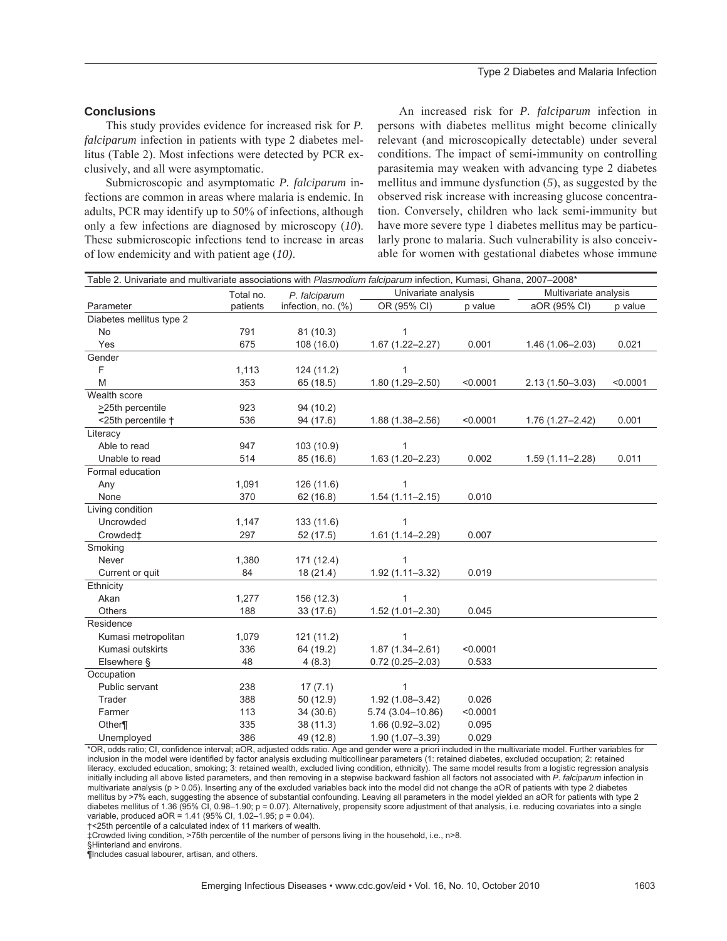## **Conclusions**

This study provides evidence for increased risk for *P. falciparum* infection in patients with type 2 diabetes mellitus (Table 2). Most infections were detected by PCR exclusively, and all were asymptomatic.

Submicroscopic and asymptomatic *P. falciparum* infections are common in areas where malaria is endemic. In adults, PCR may identify up to 50% of infections, although only a few infections are diagnosed by microscopy (*10*). These submicroscopic infections tend to increase in areas of low endemicity and with patient age (*10)*.

An increased risk for *P. falciparum* infection in persons with diabetes mellitus might become clinically relevant (and microscopically detectable) under several conditions. The impact of semi-immunity on controlling parasitemia may weaken with advancing type 2 diabetes mellitus and immune dysfunction (*5*), as suggested by the observed risk increase with increasing glucose concentration. Conversely, children who lack semi-immunity but have more severe type 1 diabetes mellitus may be particularly prone to malaria. Such vulnerability is also conceivable for women with gestational diabetes whose immune

| Table 2. Univariate and multivariate associations with Plasmodium falciparum infection, Kumasi, Ghana, 2007-2008* |           |                    |                     |          |                       |          |
|-------------------------------------------------------------------------------------------------------------------|-----------|--------------------|---------------------|----------|-----------------------|----------|
|                                                                                                                   | Total no. | P. falciparum      | Univariate analysis |          | Multivariate analysis |          |
| Parameter                                                                                                         | patients  | infection, no. (%) | OR (95% CI)         | p value  | aOR (95% CI)          | p value  |
| Diabetes mellitus type 2                                                                                          |           |                    |                     |          |                       |          |
| <b>No</b>                                                                                                         | 791       | 81 (10.3)          |                     |          |                       |          |
| Yes                                                                                                               | 675       | 108 (16.0)         | 1.67 (1.22-2.27)    | 0.001    | 1.46 (1.06-2.03)      | 0.021    |
| Gender                                                                                                            |           |                    |                     |          |                       |          |
| F                                                                                                                 | 1,113     | 124 (11.2)         |                     |          |                       |          |
| M                                                                                                                 | 353       | 65 (18.5)          | 1.80 (1.29-2.50)    | < 0.0001 | $2.13(1.50 - 3.03)$   | < 0.0001 |
| Wealth score                                                                                                      |           |                    |                     |          |                       |          |
| >25th percentile                                                                                                  | 923       | 94 (10.2)          |                     |          |                       |          |
| <25th percentile +                                                                                                | 536       | 94 (17.6)          | $1.88(1.38 - 2.56)$ | < 0.0001 | $1.76(1.27 - 2.42)$   | 0.001    |
| Literacy                                                                                                          |           |                    |                     |          |                       |          |
| Able to read                                                                                                      | 947       | 103 (10.9)         |                     |          |                       |          |
| Unable to read                                                                                                    | 514       | 85 (16.6)          | $1.63(1.20 - 2.23)$ | 0.002    | $1.59(1.11 - 2.28)$   | 0.011    |
| Formal education                                                                                                  |           |                    |                     |          |                       |          |
| Any                                                                                                               | 1,091     | 126 (11.6)         |                     |          |                       |          |
| None                                                                                                              | 370       | 62(16.8)           | $1.54(1.11 - 2.15)$ | 0.010    |                       |          |
| Living condition                                                                                                  |           |                    |                     |          |                       |          |
| Uncrowded                                                                                                         | 1,147     | 133 (11.6)         |                     |          |                       |          |
| Crowded‡                                                                                                          | 297       | 52 (17.5)          | $1.61(1.14 - 2.29)$ | 0.007    |                       |          |
| Smoking                                                                                                           |           |                    |                     |          |                       |          |
| Never                                                                                                             | 1,380     | 171 (12.4)         |                     |          |                       |          |
| Current or quit                                                                                                   | 84        | 18(21.4)           | 1.92 (1.11-3.32)    | 0.019    |                       |          |
| Ethnicity                                                                                                         |           |                    |                     |          |                       |          |
| Akan                                                                                                              | 1,277     | 156 (12.3)         | 1                   |          |                       |          |
| Others                                                                                                            | 188       | 33 (17.6)          | $1.52(1.01 - 2.30)$ | 0.045    |                       |          |
| Residence                                                                                                         |           |                    |                     |          |                       |          |
| Kumasi metropolitan                                                                                               | 1,079     | 121 (11.2)         | 1                   |          |                       |          |
| Kumasi outskirts                                                                                                  | 336       | 64 (19.2)          | $1.87(1.34 - 2.61)$ | < 0.0001 |                       |          |
| Elsewhere §                                                                                                       | 48        | 4(8.3)             | $0.72(0.25 - 2.03)$ | 0.533    |                       |          |
| Occupation                                                                                                        |           |                    |                     |          |                       |          |
| Public servant                                                                                                    | 238       | 17(7.1)            | $\mathbf{1}$        |          |                       |          |
| Trader                                                                                                            | 388       | 50 (12.9)          | $1.92(1.08 - 3.42)$ | 0.026    |                       |          |
| Farmer                                                                                                            | 113       | 34(30.6)           | 5.74 (3.04-10.86)   | < 0.0001 |                       |          |
| Other¶                                                                                                            | 335       | 38 (11.3)          | 1.66 (0.92-3.02)    | 0.095    |                       |          |
| Unemployed                                                                                                        | 386       | 49 (12.8)          | 1.90 (1.07-3.39)    | 0.029    |                       |          |

\*OR, odds ratio; CI, confidence interval; aOR, adjusted odds ratio. Age and gender were a priori included in the multivariate model. Further variables for inclusion in the model were identified by factor analysis excluding multicollinear parameters (1: retained diabetes, excluded occupation; 2: retained literacy, excluded education, smoking; 3: retained wealth, excluded living condition, ethnicity). The same model results from a logistic regression analysis initially including all above listed parameters, and then removing in a stepwise backward fashion all factors not associated with *P. falciparum* infection in multivariate analysis (p > 0.05). Inserting any of the excluded variables back into the model did not change the aOR of patients with type 2 diabetes mellitus by >7% each, suggesting the absence of substantial confounding. Leaving all parameters in the model yielded an aOR for patients with type 2 diabetes mellitus of 1.36 (95% CI, 0.98-1.90; p = 0.07). Alternatively, propensity score adjustment of that analysis, i.e. reducing covariates into a single variable, produced aOR =  $1.41$  (95% Cl, 1.02-1.95; p = 0.04).

†<25th percentile of a calculated index of 11 markers of wealth.

‡Crowded living condition, >75th percentile of the number of persons living in the household, i.e., n>8.

§Hinterland and environs.

¶Includes casual labourer, artisan, and others.